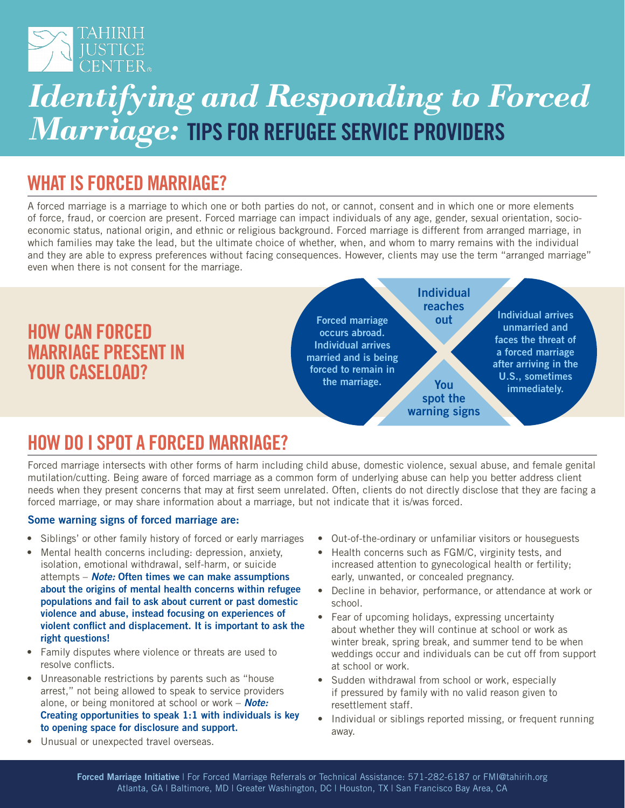

# *Identifying and Responding to Forced Marriage:* TIPS FOR REFUGEE SERVICE PROVIDERS

### WHAT IS FORCED MARRIAGE?

A forced marriage is a marriage to which one or both parties do not, or cannot, consent and in which one or more elements of force, fraud, or coercion are present. Forced marriage can impact individuals of any age, gender, sexual orientation, socioeconomic status, national origin, and ethnic or religious background. Forced marriage is different from arranged marriage, in which families may take the lead, but the ultimate choice of whether, when, and whom to marry remains with the individual and they are able to express preferences without facing consequences. However, clients may use the term "arranged marriage" even when there is not consent for the marriage.



### HOW DO I SPOT A FORCED MARRIAGE?

Forced marriage intersects with other forms of harm including child abuse, domestic violence, sexual abuse, and female genital mutilation/cutting. Being aware of forced marriage as a common form of underlying abuse can help you better address client needs when they present concerns that may at first seem unrelated. Often, clients do not directly disclose that they are facing a forced marriage, or may share information about a marriage, but not indicate that it is/was forced.

#### Some warning signs of forced marriage are:

- Siblings' or other family history of forced or early marriages
- Mental health concerns including: depression, anxiety, isolation, emotional withdrawal, self-harm, or suicide attempts – *Note:* Often times we can make assumptions about the origins of mental health concerns within refugee populations and fail to ask about current or past domestic violence and abuse, instead focusing on experiences of violent conflict and displacement. It is important to ask the right questions!
- Family disputes where violence or threats are used to resolve conflicts.
- Unreasonable restrictions by parents such as "house arrest," not being allowed to speak to service providers alone, or being monitored at school or work – *Note:*  Creating opportunities to speak 1:1 with individuals is key to opening space for disclosure and support.
- Out-of-the-ordinary or unfamiliar visitors or houseguests
- Health concerns such as FGM/C, virginity tests, and increased attention to gynecological health or fertility; early, unwanted, or concealed pregnancy.
- Decline in behavior, performance, or attendance at work or school.
- Fear of upcoming holidays, expressing uncertainty about whether they will continue at school or work as winter break, spring break, and summer tend to be when weddings occur and individuals can be cut off from support at school or work.
- Sudden withdrawal from school or work, especially if pressured by family with no valid reason given to resettlement staff.
- Individual or siblings reported missing, or frequent running away.

• Unusual or unexpected travel overseas.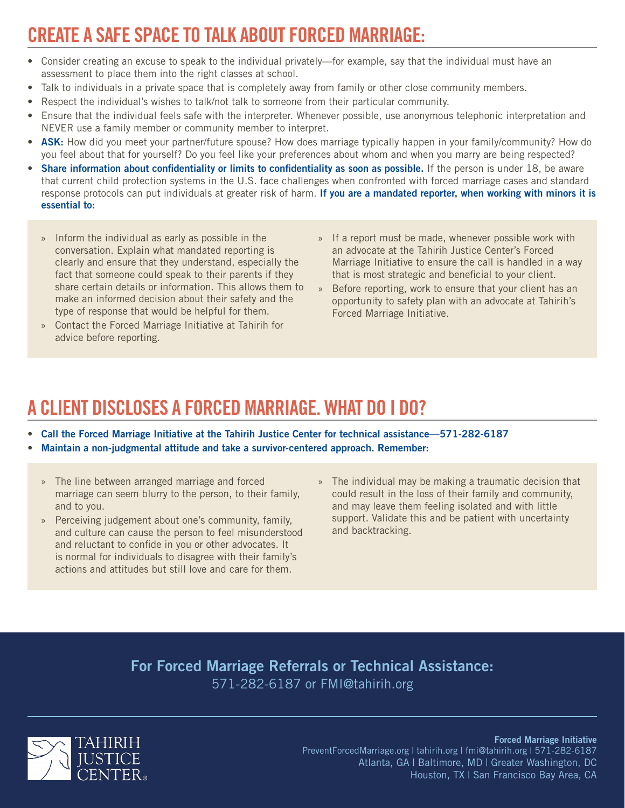## CREATE A SAFE SPACE TO TALK ABOUT FORCED MARRIAGE:

- Consider creating an excuse to speak to the individual privately—for example, say that the individual must have an assessment to place them into the right classes at school.
- Talk to individuals in a private space that is completely away from family or other close community members.
- Respect the individual's wishes to talk/not talk to someone from their particular community.
- Ensure that the individual feels safe with the interpreter. Whenever possible, use anonymous telephonic interpretation and NEVER use a family member or community member to interpret.
- ASK: How did you meet your partner/future spouse? How does marriage typically happen in your family/community? How do you feel about that for yourself? Do you feel like your preferences about whom and when you marry are being respected?
- Share information about confidentiality or limits to confidentiality as soon as possible. If the person is under 18, be aware that current child protection systems in the U.S. face challenges when confronted with forced marriage cases and standard response protocols can put individuals at greater risk of harm. If you are a mandated reporter, when working with minors it is essential to:
	- » Inform the individual as early as possible in the conversation. Explain what mandated reporting is clearly and ensure that they understand, especially the fact that someone could speak to their parents if they share certain details or information. This allows them to make an informed decision about their safety and the type of response that would be helpful for them.
	- » Contact the Forced Marriage Initiative at Tahirih for advice before reporting.
- » If a report must be made, whenever possible work with an advocate at the Tahirih Justice Center's Forced Marriage Initiative to ensure the call is handled in a way that is most strategic and beneficial to your client.
- » Before reporting, work to ensure that your client has an opportunity to safety plan with an advocate at Tahirih's Forced Marriage Initiative.

## A CLIENT DISCLOSES A FORCED MARRIAGE. WHAT DO I DO?

- Call the Forced Marriage Initiative at the Tahirih Justice Center for technical assistance—571-282-6187
- Maintain a non-judgmental attitude and take a survivor-centered approach. Remember:
	- » The line between arranged marriage and forced marriage can seem blurry to the person, to their family, and to you.
	- » Perceiving judgement about one's community, family, and culture can cause the person to feel misunderstood and reluctant to confide in you or other advocates. It is normal for individuals to disagree with their family's actions and attitudes but still love and care for them.
- » The individual may be making a traumatic decision that could result in the loss of their family and community, and may leave them feeling isolated and with little support. Validate this and be patient with uncertainty and backtracking.

#### For Forced Marriage Referrals or Technical Assistance: 571-282-6187 or FMI@tahirih.org



#### Forced Marriage Initiative PreventForcedMarriage.org | tahirih.org | fmi@tahirih.org | 571-282-6187 Atlanta, GA | Baltimore, MD | Greater Washington, DC Houston, TX | San Francisco Bay Area, CA